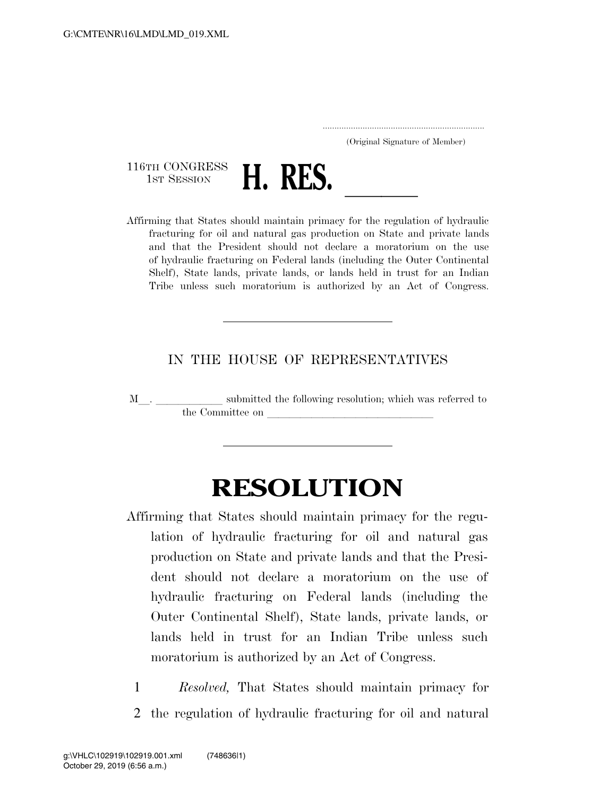..................................................................... (Original Signature of Member)

116TH CONGRESS<br>1st Session



1ST SESSION **H. RES.** <u>Affirming that States should maintain primacy for the regulation of hydraulic</u> fracturing for oil and natural gas production on State and private lands and that the President should not declare a moratorium on the use of hydraulic fracturing on Federal lands (including the Outer Continental Shelf), State lands, private lands, or lands held in trust for an Indian Tribe unless such moratorium is authorized by an Act of Congress.

## IN THE HOUSE OF REPRESENTATIVES

M $\_$   $\_$   $\_$   $\_$  submitted the following resolution; which was referred to the Committee on

## **RESOLUTION**

- Affirming that States should maintain primacy for the regulation of hydraulic fracturing for oil and natural gas production on State and private lands and that the President should not declare a moratorium on the use of hydraulic fracturing on Federal lands (including the Outer Continental Shelf), State lands, private lands, or lands held in trust for an Indian Tribe unless such moratorium is authorized by an Act of Congress.
	- 1 *Resolved,* That States should maintain primacy for 2 the regulation of hydraulic fracturing for oil and natural